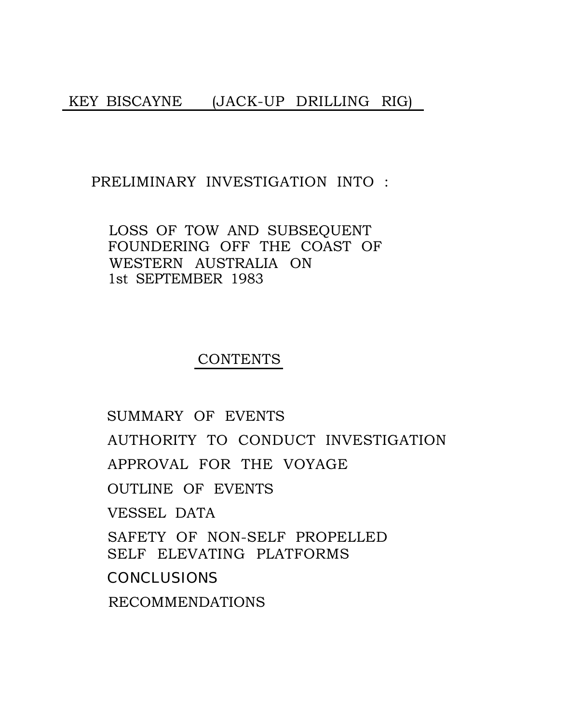#### PRELIMINARY INVESTIGATION INTO :

LOSS OF TOW AND SUBSEQUENT FOUNDERING OFF THE COAST OF WESTERN AUSTRALIA ON 1st SEPTEMBER 1983

## **CONTENTS**

[SUMMARY OF EVENTS](#page-1-0) [AUTHORITY TO CONDUCT INVESTIGATION](#page-4-0) [APPROVAL FOR THE VOYAGE](#page-5-0) [OUTLINE OF EVENTS](#page-6-0) [VESSEL DATA](#page-10-0) [SAFETY OF NON-SELF PROPELLED](#page-15-0) SELF ELEVATING PLATFORMS [CONCLUSIONS](#page-16-0) RECOMMENDATIONS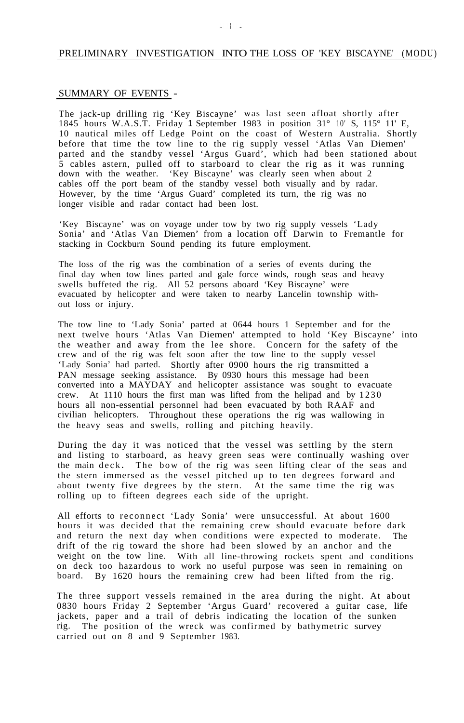#### <span id="page-1-0"></span>PRELIMINARY INVESTIGATION INTO THE LOSS OF 'KEY BISCAYNE' (MODU)

#### SUMMARY OF EVENTS -

The jack-up drilling rig 'Key Biscayne' was last seen afloat shortly after 1845 hours W.A.S.T. Friday 1 September 1983 in position 31° 10' S, 115° 11' E, 10 nautical miles off Ledge Point on the coast of Western Australia. Shortly before that time the tow line to the rig supply vessel 'Atlas Van Diemen' parted and the standby vessel 'Argus Guard', which had been stationed about 5 cables astern, pulled off to starboard to clear the rig as it was running down with the weather. 'Key Biscayne' was clearly seen when about 2 cables off the port beam of the standby vessel both visually and by radar. However, by the time 'Argus Guard' completed its turn, the rig was no longer visible and radar contact had been lost.

'Key Biscayne' was on voyage under tow by two rig supply vessels 'Lady Sonia' and 'Atlas Van Diemen' from a location off Darwin to Fremantle for stacking in Cockburn Sound pending its future employment.

The loss of the rig was the combination of a series of events during the final day when tow lines parted and gale force winds, rough seas and heavy swells buffeted the rig. All 52 persons aboard 'Key Biscayne' were evacuated by helicopter and were taken to nearby Lancelin township without loss or injury.

The tow line to 'Lady Sonia' parted at 0644 hours 1 September and for the next twelve hours 'Atlas Van Diemen' attempted to hold 'Key Biscayne' into the weather and away from the lee shore. Concern for the safety of the crew and of the rig was felt soon after the tow line to the supply vessel 'Lady Sonia' had parted. Shortly after 0900 hours the rig transmitted a PAN message seeking assistance. By 0930 hours this message had been converted into a MAYDAY and helicopter assistance was sought to evacuate crew. At 1110 hours the first man was lifted from the helipad and by 1230 hours all non-essential personnel had been evacuated by both RAAF and civilian helicopters. Throughout these operations the rig was wallowing in the heavy seas and swells, rolling and pitching heavily.

During the day it was noticed that the vessel was settling by the stern and listing to starboard, as heavy green seas were continually washing over the main deck **.** The bow of the rig was seen lifting clear of the seas and the stern immersed as the vessel pitched up to ten degrees forward and about twenty five degrees by the stern. At the same time the rig was rolling up to fifteen degrees each side of the upright.

All efforts to reconnect 'Lady Sonia' were unsuccessful. At about 1600 hours it was decided that the remaining crew should evacuate before dark and return the next day when conditions were expected to moderate. The drift of the rig toward the shore had been slowed by an anchor and the weight on the tow line. With all line-throwing rockets spent and conditions on deck too hazardous to work no useful purpose was seen in remaining on board. By 1620 hours the remaining crew had been lifted from the rig.

The three support vessels remained in the area during the night. At about 0830 hours Friday 2 September 'Argus Guard' recovered a guitar case, life jackets, paper and a trail of debris indicating the location of the sunken rig. The position of the wreck was confirmed by bathymetric survey carried out on 8 and 9 September 1983.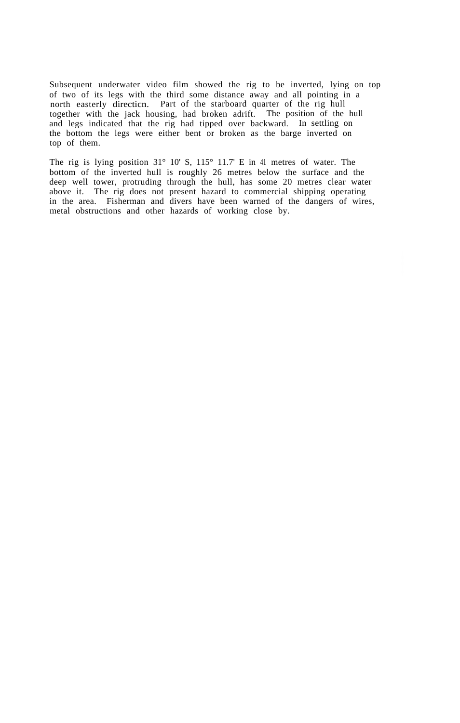Subsequent underwater video film showed the rig to be inverted, lying on top of two of its legs with the third some distance away and all pointing in a north easterly directicn. Part of the starboard quarter of the rig hull together with the jack housing, had broken adrift. The position of the hull and legs indicated that the rig had tipped over backward. In settling on the bottom the legs were either bent or broken as the barge inverted on top of them.

The rig is lying position 31° 10' S, 115° 11.7' E in 41 metres of water. The bottom of the inverted hull is roughly 26 metres below the surface and the deep well tower, protruding through the hull, has some 20 metres clear water above it. The rig does not present hazard to commercial shipping operating in the area. Fisherman and divers have been warned of the dangers of wires, metal obstructions and other hazards of working close by.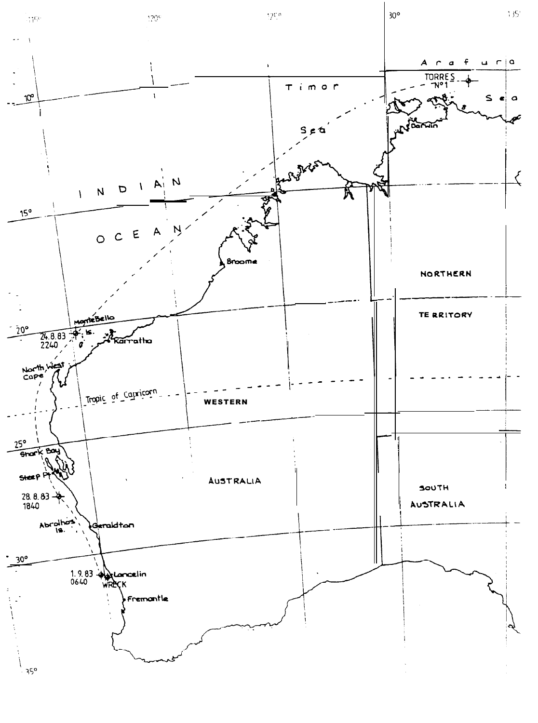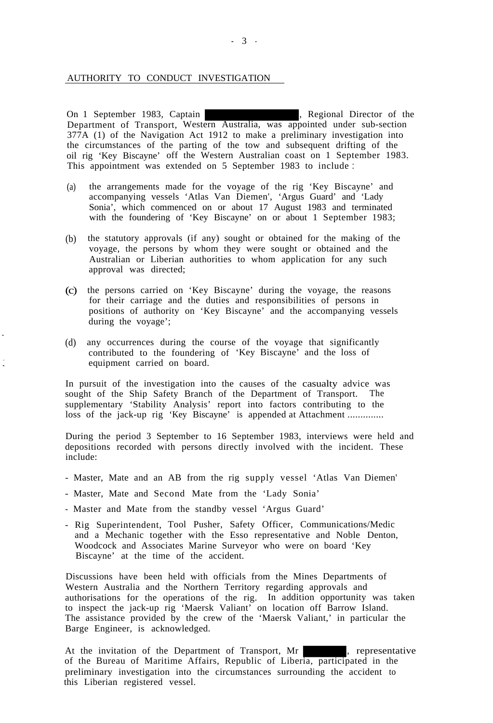## <span id="page-4-0"></span>AUTHORITY TO CONDUCT INVESTIGATION

On 1 September 1983, Captain , Regional Director of the Department of Transport, Western Australia, was appointed under sub-section 377A (1) of the Navigation Act 1912 to make a preliminary investigation into the circumstances of the parting of the tow and subsequent drifting of the oil rig 'Key Biscayne' off the Western Australian coast on 1 September 1983. This appointment was extended on 5 September 1983 to include :

- (a) the arrangements made for the voyage of the rig 'Key Biscayne' and accompanying vessels 'Atlas Van Diemen', 'Argus Guard' and 'Lady Sonia', which commenced on or about 17 August 1983 and terminated with the foundering of 'Key Biscayne' on or about 1 September 1983;
- (b) the statutory approvals (if any) sought or obtained for the making of the voyage, the persons by whom they were sought or obtained and the Australian or Liberian authorities to whom application for any such approval was directed;
- (c) the persons carried on 'Key Biscayne' during the voyage, the reasons for their carriage and the duties and responsibilities of persons in positions of authority on 'Key Biscayne' and the accompanying vessels during the voyage';
- (d) any occurrences during the course of the voyage that significantly contributed to the foundering of 'Key Biscayne' and the loss of equipment carried on board.

In pursuit of the investigation into the causes of the casualty advice was sought of the Ship Safety Branch of the Department of Transport. The supplementary 'Stability Analysis' report into factors contributing to the loss of the jack-up rig 'Key Biscayne' is appended at Attachment ..............

During the period 3 September to 16 September 1983, interviews were held and depositions recorded with persons directly involved with the incident. These include:

- Master, Mate and an AB from the rig supply vessel 'Atlas Van Diemen'
- Master, Mate and Second Mate from the 'Lady Sonia'
- Master and Mate from the standby vessel 'Argus Guard'
- Rig Superintendent, Tool Pusher, Safety Officer, Communications/Medic and a Mechanic together with the Esso representative and Noble Denton, Woodcock and Associates Marine Surveyor who were on board 'Key Biscayne' at the time of the accident.

Discussions have been held with officials from the Mines Departments of Western Australia and the Northern Territory regarding approvals and authorisations for the operations of the rig. In addition opportunity was taken to inspect the jack-up rig 'Maersk Valiant' on location off Barrow Island. The assistance provided by the crew of the 'Maersk Valiant,' in particular the Barge Engineer, is acknowledged.

At the invitation of the Department of Transport, Mr , representative of the Bureau of Maritime Affairs, Republic of Liberia, participated in the preliminary investigation into the circumstances surrounding the accident to this Liberian registered vessel.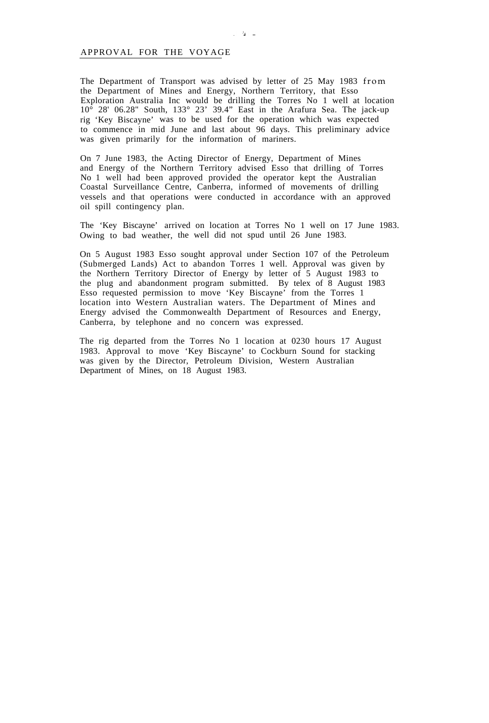#### <span id="page-5-0"></span>APPROVAL FOR THE VOYAGE

The Department of Transport was advised by letter of 25 May 1983 from the Department of Mines and Energy, Northern Territory, that Esso Exploration Australia Inc would be drilling the Torres No 1 well at location  $10^{\circ}$  28' 06.28" South, 133° 23' 39.4" East in the Arafura Sea. The jack-up rig 'Key Biscayne' was to be used for the operation which was expected to commence in mid June and last about 96 days. This preliminary advice was given primarily for the information of mariners.

On 7 June 1983, the Acting Director of Energy, Department of Mines and Energy of the Northern Territory advised Esso that drilling of Torres No 1 well had been approved provided the operator kept the Australian Coastal Surveillance Centre, Canberra, informed of movements of drilling vessels and that operations were conducted in accordance with an approved oil spill contingency plan.

The 'Key Biscayne' arrived on location at Torres No 1 well on 17 June 1983. Owing to bad weather, the well did not spud until 26 June 1983.

On 5 August 1983 Esso sought approval under Section 107 of the Petroleum (Submerged Lands) Act to abandon Torres 1 well. Approval was given by the Northern Territory Director of Energy by letter of 5 August 1983 to the plug and abandonment program submitted. By telex of 8 August 1983 Esso requested permission to move 'Key Biscayne' from the Torres 1 location into Western Australian waters. The Department of Mines and Energy advised the Commonwealth Department of Resources and Energy, Canberra, by telephone and no concern was expressed.

The rig departed from the Torres No 1 location at 0230 hours 17 August 1983. Approval to move 'Key Biscayne' to Cockburn Sound for stacking was given by the Director, Petroleum Division, Western Australian Department of Mines, on 18 August 1983.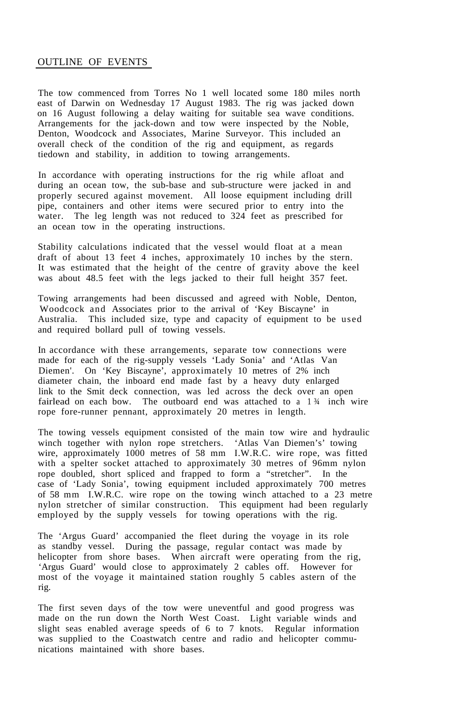### <span id="page-6-0"></span>OUTLINE OF EVENTS

The tow commenced from Torres No 1 well located some 180 miles north east of Darwin on Wednesday 17 August 1983. The rig was jacked down on 16 August following a delay waiting for suitable sea wave conditions. Arrangements for the jack-down and tow were inspected by the Noble, Denton, Woodcock and Associates, Marine Surveyor. This included an overall check of the condition of the rig and equipment, as regards tiedown and stability, in addition to towing arrangements.

In accordance with operating instructions for the rig while afloat and during an ocean tow, the sub-base and sub-structure were jacked in and properly secured against movement. All loose equipment including drill pipe, containers and other items were secured prior to entry into the water. The leg length was not reduced to 324 feet as prescribed for an ocean tow in the operating instructions.

Stability calculations indicated that the vessel would float at a mean draft of about 13 feet 4 inches, approximately 10 inches by the stern. It was estimated that the height of the centre of gravity above the keel was about 48.5 feet with the legs jacked to their full height 357 feet.

Towing arrangements had been discussed and agreed with Noble, Denton, Woodcock and Associates prior to the arrival of 'Key Biscayne' in Australia. This included size, type and capacity of equipment to be used and required bollard pull of towing vessels.

In accordance with these arrangements, separate tow connections were made for each of the rig-supply vessels 'Lady Sonia' and 'Atlas Van Diemen'. On 'Key Biscayne', approximately 10 metres of 2% inch diameter chain, the inboard end made fast by a heavy duty enlarged link to the Smit deck connection, was led across the deck over an open fairlead on each bow. The outboard end was attached to a  $1\frac{3}{4}$  inch wire rope fore-runner pennant, approximately 20 metres in length.

The towing vessels equipment consisted of the main tow wire and hydraulic winch together with nylon rope stretchers. 'Atlas Van Diemen's' towing wire, approximately 1000 metres of 58 mm I.W.R.C. wire rope, was fitted with a spelter socket attached to approximately 30 metres of 96mm nylon rope doubled, short spliced and frapped to form a "stretcher". In the case of 'Lady Sonia', towing equipment included approximately 700 metres of 58 mm I.W.R.C. wire rope on the towing winch attached to a 23 metre nylon stretcher of similar construction. This equipment had been regularly employed by the supply vessels for towing operations with the rig.

The 'Argus Guard' accompanied the fleet during the voyage in its role as standby vessel. During the passage, regular contact was made by helicopter from shore bases. When aircraft were operating from the rig, 'Argus Guard' would close to approximately 2 cables off. However for most of the voyage it maintained station roughly 5 cables astern of the rig.

The first seven days of the tow were uneventful and good progress was made on the run down the North West Coast. Light variable winds and slight seas enabled average speeds of 6 to 7 knots. Regular information was supplied to the Coastwatch centre and radio and helicopter communications maintained with shore bases.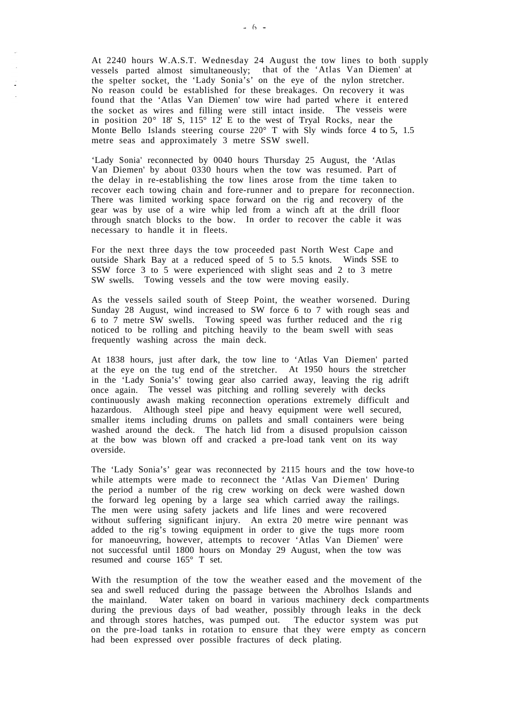At 2240 hours W.A.S.T. Wednesday 24 August the tow lines to both supply vessels parted almost simultaneously; that of the 'Atlas Van Diemen' at the spelter socket, the 'Lady Sonia's' on the eye of the nylon stretcher. No reason could be established for these breakages. On recovery it was found that the 'Atlas Van Diemen' tow wire had parted where it entered the socket as wires and filling were still intact inside. The vesseis were in position 20° 18' S, 115° 12' E to the west of Tryal Rocks, near the Monte Bello Islands steering course 220° T with Sly winds force 4 to 5, 1.5 metre seas and approximately 3 metre SSW swell.

'Lady Sonia' reconnected by 0040 hours Thursday 25 August, the 'Atlas Van Diemen' by about 0330 hours when the tow was resumed. Part of the delay in re-establishing the tow lines arose from the time taken to recover each towing chain and fore-runner and to prepare for reconnection. There was limited working space forward on the rig and recovery of the gear was by use of a wire whip led from a winch aft at the drill floor through snatch blocks to the bow. In order to recover the cable it was necessary to handle it in fleets.

For the next three days the tow proceeded past North West Cape and outside Shark Bay at a reduced speed of 5 to 5.5 knots. Winds SSE to SSW force 3 to 5 were experienced with slight seas and 2 to 3 metre SW swells. Towing vessels and the tow were moving easily.

As the vessels sailed south of Steep Point, the weather worsened. During Sunday 28 August, wind increased to SW force 6 to 7 with rough seas and 6 to 7 metre SW swells. Towing speed was further reduced and the rig noticed to be rolling and pitching heavily to the beam swell with seas frequently washing across the main deck.

At 1838 hours, just after dark, the tow line to 'Atlas Van Diemen' parted at the eye on the tug end of the stretcher. At 1950 hours the stretcher in the 'Lady Sonia's' towing gear also carried away, leaving the rig adrift once again. The vessel was pitching and rolling severely with decks continuously awash making reconnection operations extremely difficult and hazardous. Although steel pipe and heavy equipment were well secured, smaller items including drums on pallets and small containers were being washed around the deck. The hatch lid from a disused propulsion caisson at the bow was blown off and cracked a pre-load tank vent on its way overside.

The 'Lady Sonia's' gear was reconnected by 2115 hours and the tow hove-to while attempts were made to reconnect the 'Atlas Van Diemen' During the period a number of the rig crew working on deck were washed down the forward leg opening by a large sea which carried away the railings. The men were using safety jackets and life lines and were recovered without suffering significant injury. An extra 20 metre wire pennant was added to the rig's towing equipment in order to give the tugs more room for manoeuvring, however, attempts to recover 'Atlas Van Diemen' were not successful until 1800 hours on Monday 29 August, when the tow was resumed and course 165° T set.

With the resumption of the tow the weather eased and the movement of the sea and swell reduced during the passage between the Abrolhos Islands and the mainland. Water taken on board in various machinery deck compartments during the previous days of bad weather, possibly through leaks in the deck and through stores hatches, was pumped out. The eductor system was put on the pre-load tanks in rotation to ensure that they were empty as concern had been expressed over possible fractures of deck plating.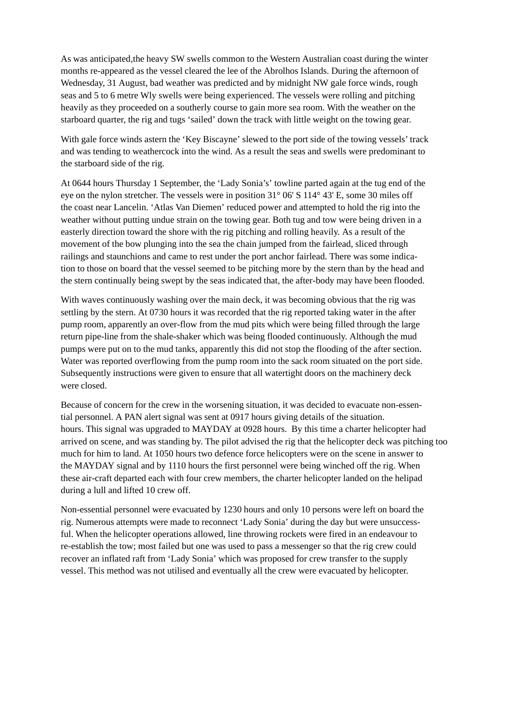As was anticipated,the heavy SW swells common to the Western Australian coast during the winter months re-appeared as the vessel cleared the lee of the Abrolhos Islands. During the afternoon of Wednesday, 31 August, bad weather was predicted and by midnight NW gale force winds, rough seas and 5 to 6 metre Wly swells were being experienced. The vessels were rolling and pitching heavily as they proceeded on a southerly course to gain more sea room. With the weather on the starboard quarter, the rig and tugs 'sailed' down the track with little weight on the towing gear.

With gale force winds astern the 'Key Biscayne' slewed to the port side of the towing vessels' track and was tending to weathercock into the wind. As a result the seas and swells were predominant to the starboard side of the rig.

At 0644 hours Thursday 1 September, the 'Lady Sonia's' towline parted again at the tug end of the eye on the nylon stretcher. The vessels were in position 31° 06' S 114° 43' E, some 30 miles off the coast near Lancelin. 'Atlas Van Diemen' reduced power and attempted to hold the rig into the weather without putting undue strain on the towing gear. Both tug and tow were being driven in a easterly direction toward the shore with the rig pitching and rolling heavily. As a result of the movement of the bow plunging into the sea the chain jumped from the fairlead, sliced through railings and staunchions and came to rest under the port anchor fairlead. There was some indication to those on board that the vessel seemed to be pitching more by the stern than by the head and the stern continually being swept by the seas indicated that, the after-body may have been flooded.

With waves continuously washing over the main deck, it was becoming obvious that the rig was settling by the stern. At 0730 hours it was recorded that the rig reported taking water in the after pump room, apparently an over-flow from the mud pits which were being filled through the large return pipe-line from the shale-shaker which was being flooded continuously. Although the mud pumps were put on to the mud tanks, apparently this did not stop the flooding of the after section. Water was reported overflowing from the pump room into the sack room situated on the port side. Subsequently instructions were given to ensure that all watertight doors on the machinery deck were closed.

Because of concern for the crew in the worsening situation, it was decided to evacuate non-essential personnel. A PAN alert signal was sent at 0917 hours giving details of the situation. hours. This signal was upgraded to MAYDAY at 0928 hours. By this time a charter helicopter had arrived on scene, and was standing by. The pilot advised the rig that the helicopter deck was pitching too much for him to land. At 1050 hours two defence force helicopters were on the scene in answer to the MAYDAY signal and by 1110 hours the first personnel were being winched off the rig. When these air-craft departed each with four crew members, the charter helicopter landed on the helipad during a lull and lifted 10 crew off.

Non-essential personnel were evacuated by 1230 hours and only 10 persons were left on board the rig. Numerous attempts were made to reconnect 'Lady Sonia' during the day but were unsuccessful. When the helicopter operations allowed, line throwing rockets were fired in an endeavour to re-establish the tow; most failed but one was used to pass a messenger so that the rig crew could recover an inflated raft from 'Lady Sonia' which was proposed for crew transfer to the supply vessel. This method was not utilised and eventually all the crew were evacuated by helicopter.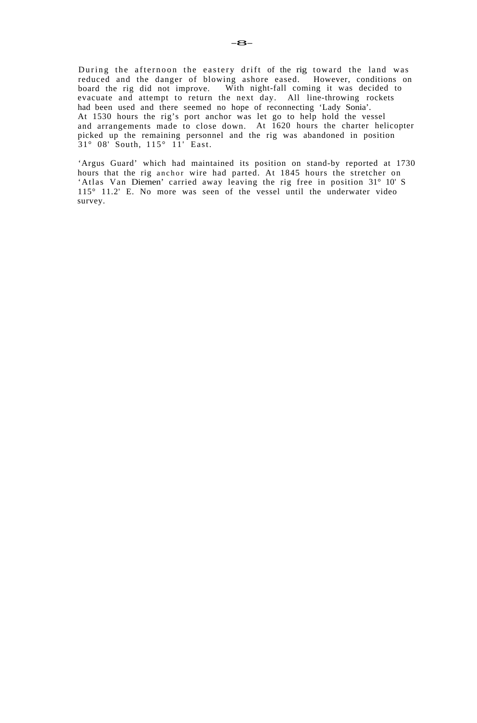During the afternoon the eastery drift of the rig toward the land was reduced and the danger of blowing ashore eased. However, conditions on reduced and the danger of blowing ashore eased. board the rig did not improve. With night-fall coming it was decided to evacuate and attempt to return the next day. All line-throwing rockets had been used and there seemed no hope of reconnecting 'Lady Sonia'. At 1530 hours the rig's port anchor was let go to help hold the vessel and arrangements made to close down. At 1620 hours the charter helicopter picked up the remaining personnel and the rig was abandoned in position 31° 08' South, 115° 11' East.

'Argus Guard' which had maintained its position on stand-by reported at 1730 hours that the rig anchor wire had parted. At 1845 hours the stretcher on 'Atlas Van Diemen' carried away leaving the rig free in position 31° 10' S 115° 11.2' E. No more was seen of the vessel until the underwater video survey.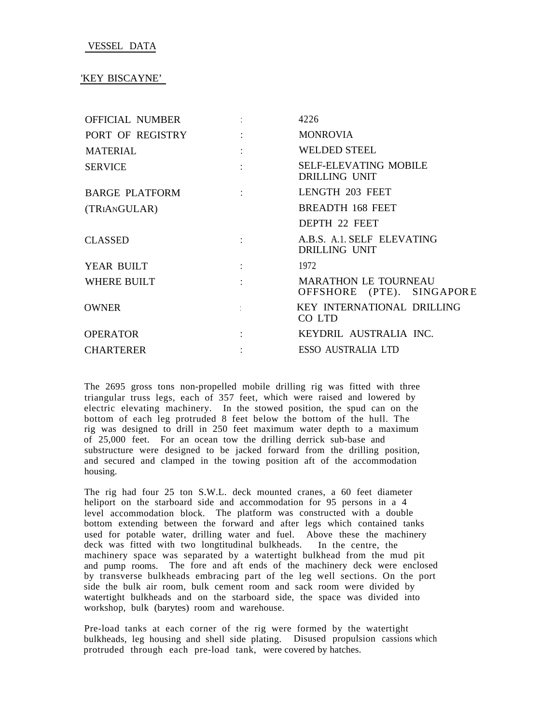## <span id="page-10-0"></span>VESSEL DATA

## 'KEY BISCAYNE'

| <b>Contract Contract Contract</b>                                                                                                                                                                                                                                                                                                                                                                                                                         | 4226                                                     |
|-----------------------------------------------------------------------------------------------------------------------------------------------------------------------------------------------------------------------------------------------------------------------------------------------------------------------------------------------------------------------------------------------------------------------------------------------------------|----------------------------------------------------------|
|                                                                                                                                                                                                                                                                                                                                                                                                                                                           | <b>MONROVIA</b>                                          |
| $\mathcal{L}(\mathcal{L}^{\mathcal{L}})$ and $\mathcal{L}^{\mathcal{L}}$ . The contribution of $\mathcal{L}^{\mathcal{L}}$                                                                                                                                                                                                                                                                                                                                | <b>WELDED STEEL</b>                                      |
|                                                                                                                                                                                                                                                                                                                                                                                                                                                           | <b>SELF-ELEVATING MOBILE</b><br>DRILLING UNIT            |
|                                                                                                                                                                                                                                                                                                                                                                                                                                                           | LENGTH 203 FEET                                          |
|                                                                                                                                                                                                                                                                                                                                                                                                                                                           | <b>BREADTH 168 FEET</b>                                  |
|                                                                                                                                                                                                                                                                                                                                                                                                                                                           | DEPTH 22 FEET                                            |
| <b>Control of Control Control</b>                                                                                                                                                                                                                                                                                                                                                                                                                         | A.B.S. A.1. SELF ELEVATING<br>DRILLING UNIT              |
| $\mathcal{L}^{\mathcal{L}}(\mathcal{L}^{\mathcal{L}}(\mathcal{L}^{\mathcal{L}}(\mathcal{L}^{\mathcal{L}}(\mathcal{L}^{\mathcal{L}}(\mathcal{L}^{\mathcal{L}}(\mathcal{L}^{\mathcal{L}}(\mathcal{L}^{\mathcal{L}}(\mathcal{L}^{\mathcal{L}}(\mathcal{L}^{\mathcal{L}}(\mathcal{L}^{\mathcal{L}}(\mathcal{L}^{\mathcal{L}}(\mathcal{L}^{\mathcal{L}}(\mathcal{L}^{\mathcal{L}}(\mathcal{L}^{\mathcal{L}}(\mathcal{L}^{\mathcal{L}}(\mathcal{L}^{\mathcal{L$ | 1972                                                     |
|                                                                                                                                                                                                                                                                                                                                                                                                                                                           | <b>MARATHON LE TOURNEAU</b><br>OFFSHORE (PTE). SINGAPORE |
|                                                                                                                                                                                                                                                                                                                                                                                                                                                           | KEY INTERNATIONAL DRILLING<br>CO LTD                     |
| and the state of the state of the                                                                                                                                                                                                                                                                                                                                                                                                                         | KEYDRIL AUSTRALIA INC.                                   |
| $\mathcal{L}^{\mathcal{L}}(\mathcal{L}^{\mathcal{L}})$ and $\mathcal{L}^{\mathcal{L}}(\mathcal{L}^{\mathcal{L}})$ and $\mathcal{L}^{\mathcal{L}}(\mathcal{L}^{\mathcal{L}})$                                                                                                                                                                                                                                                                              | ESSO AUSTRALIA LTD                                       |
|                                                                                                                                                                                                                                                                                                                                                                                                                                                           |                                                          |

The 2695 gross tons non-propelled mobile drilling rig was fitted with three triangular truss legs, each of 357 feet, which were raised and lowered by electric elevating machinery. In the stowed position, the spud can on the bottom of each leg protruded 8 feet below the bottom of the hull. The rig was designed to drill in 250 feet maximum water depth to a maximum of 25,000 feet. For an ocean tow the drilling derrick sub-base and substructure were designed to be jacked forward from the drilling position, and secured and clamped in the towing position aft of the accommodation housing.

The rig had four 25 ton S.W.L. deck mounted cranes, a 60 feet diameter heliport on the starboard side and accommodation for 95 persons in a 4 level accommodation block. The platform was constructed with a double bottom extending between the forward and after legs which contained tanks used for potable water, drilling water and fuel. Above these the machinery deck was fitted with two longtitudinal bulkheads. In the centre, the machinery space was separated by a watertight bulkhead from the mud pit and pump rooms. The fore and aft ends of the machinery deck were enclosed by transverse bulkheads embracing part of the leg well sections. On the port side the bulk air room, bulk cement room and sack room were divided by watertight bulkheads and on the starboard side, the space was divided into workshop, bulk (barytes) room and warehouse.

Pre-load tanks at each corner of the rig were formed by the watertight bulkheads, leg housing and shell side plating. Disused propulsion cassions which protruded through each pre-load tank, were covered by hatches.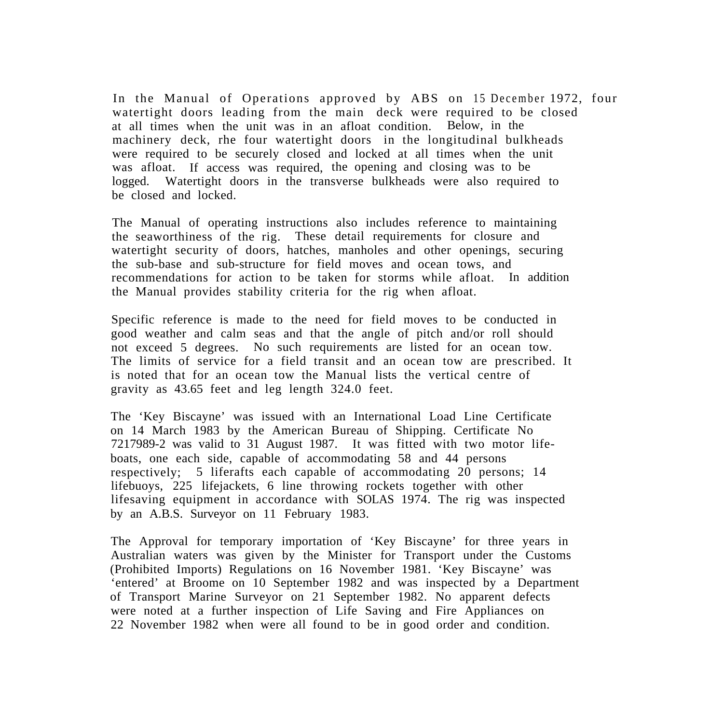In the Manual of Operations approved by ABS on 15 December 1972, four watertight doors leading from the main deck were required to be closed at all times when the unit was in an afloat condition. Below, in the machinery deck, rhe four watertight doors in the longitudinal bulkheads were required to be securely closed and locked at all times when the unit was afloat. If access was required, the opening and closing was to be logged. Watertight doors in the transverse bulkheads were also required to be closed and locked.

The Manual of operating instructions also includes reference to maintaining the seaworthiness of the rig. These detail requirements for closure and watertight security of doors, hatches, manholes and other openings, securing the sub-base and sub-structure for field moves and ocean tows, and recommendations for action to be taken for storms while afloat. In addition the Manual provides stability criteria for the rig when afloat.

Specific reference is made to the need for field moves to be conducted in good weather and calm seas and that the angle of pitch and/or roll should not exceed 5 degrees. No such requirements are listed for an ocean tow. The limits of service for a field transit and an ocean tow are prescribed. It is noted that for an ocean tow the Manual lists the vertical centre of gravity as 43.65 feet and leg length 324.0 feet.

The 'Key Biscayne' was issued with an International Load Line Certificate on 14 March 1983 by the American Bureau of Shipping. Certificate No 7217989-2 was valid to 31 August 1987. It was fitted with two motor lifeboats, one each side, capable of accommodating 58 and 44 persons respectively; 5 liferafts each capable of accommodating 20 persons; 14 lifebuoys, 225 lifejackets, 6 line throwing rockets together with other lifesaving equipment in accordance with SOLAS 1974. The rig was inspected by an A.B.S. Surveyor on 11 February 1983.

The Approval for temporary importation of 'Key Biscayne' for three years in Australian waters was given by the Minister for Transport under the Customs (Prohibited Imports) Regulations on 16 November 1981. 'Key Biscayne' was 'entered' at Broome on 10 September 1982 and was inspected by a Department of Transport Marine Surveyor on 21 September 1982. No apparent defects were noted at a further inspection of Life Saving and Fire Appliances on 22 November 1982 when were all found to be in good order and condition.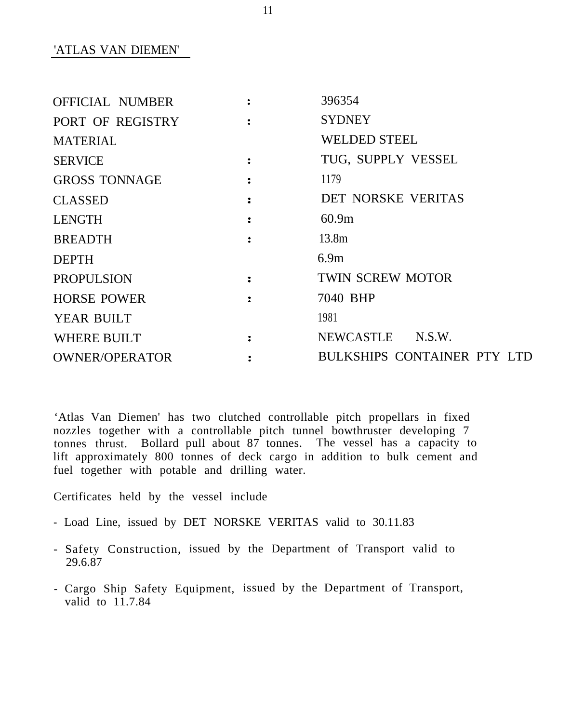'ATLAS VAN DIEMEN'

| OFFICIAL NUMBER       | $\mathcal{L}$               | 396354                      |
|-----------------------|-----------------------------|-----------------------------|
| PORT OF REGISTRY      |                             | <b>SYDNEY</b>               |
| <b>MATERIAL</b>       |                             | <b>WELDED STEEL</b>         |
| <b>SERVICE</b>        |                             | TUG, SUPPLY VESSEL          |
| <b>GROSS TONNAGE</b>  | $\sim$ $\sim$ $\sim$ $\sim$ | 1179                        |
| <b>CLASSED</b>        |                             | <b>DET NORSKE VERITAS</b>   |
| <b>LENGTH</b>         |                             | 60.9m                       |
| <b>BREADTH</b>        | $\ddot{ }$                  | 13.8 <sub>m</sub>           |
| <b>DEPTH</b>          |                             | 6.9m                        |
| <b>PROPULSION</b>     |                             | <b>TWIN SCREW MOTOR</b>     |
| <b>HORSE POWER</b>    |                             | 7040 BHP                    |
| YEAR BUILT            |                             | 1981                        |
| <b>WHERE BUILT</b>    |                             | NEWCASTLE N.S.W.            |
| <b>OWNER/OPERATOR</b> |                             | BULKSHIPS CONTAINER PTY LTD |

'Atlas Van Diemen' has two clutched controllable pitch propellars in fixed nozzles together with a controllable pitch tunnel bowthruster developing 7 tonnes thrust. Bollard pull about 87 tonnes. The vessel has a capacity to lift approximately 800 tonnes of deck cargo in addition to bulk cement and fuel together with potable and drilling water.

Certificates held by the vessel include

- Load Line, issued by DET NORSKE VERITAS valid to 30.11.83
- Safety Construction, issued by the Department of Transport valid to 29.6.87
- Cargo Ship Safety Equipment, issued by the Department of Transport, valid to  $11.7.84$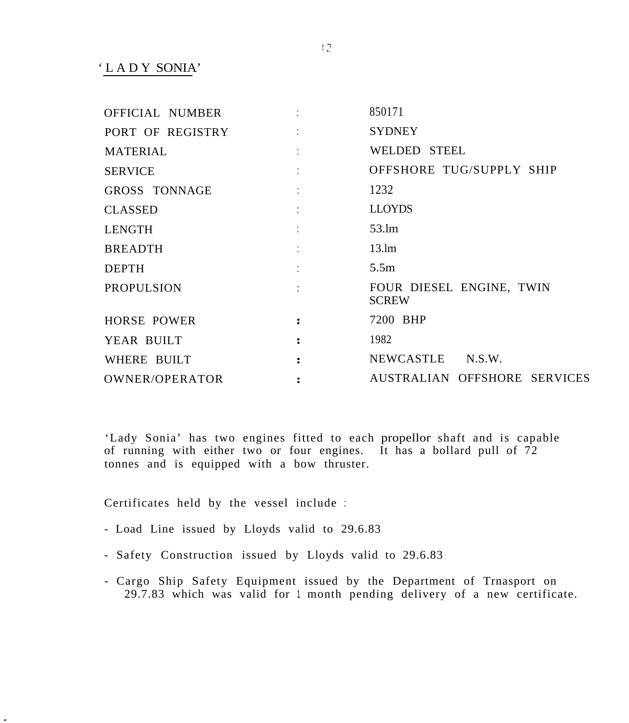'LADY SONIA'

| OFFICIAL NUMBER    | <b>Contract Contract Contract</b> | 850171                                   |
|--------------------|-----------------------------------|------------------------------------------|
| PORT OF REGISTRY   | <b>Contract Contract Contract</b> | <b>SYDNEY</b>                            |
| <b>MATERIAL</b>    |                                   | WELDED STEEL                             |
| <b>SERVICE</b>     | <b>Control of the Control</b>     | OFFSHORE TUG/SUPPLY SHIP                 |
| GROSS TONNAGE      | and the state of the state of     | 1232                                     |
| <b>CLASSED</b>     |                                   | <b>LLOYDS</b>                            |
| LENGTH             |                                   | 53.lm                                    |
| <b>BREADTH</b>     |                                   | 13.lm                                    |
| <b>DEPTH</b>       |                                   | 5.5m                                     |
| <b>PROPULSION</b>  | and the state of the state of the | FOUR DIESEL ENGINE, TWIN<br><b>SCREW</b> |
| <b>HORSE POWER</b> | $\sim$ $\sim$ $\sim$ $\sim$       | 7200 BHP                                 |
| YEAR BUILT         | $\ddot{\cdot}$                    | 1982                                     |
| WHERE BUILT        |                                   | NEWCASTLE N.S.W.                         |
| OWNER/OPERATOR     |                                   | AUSTRALIAN OFFSHORE SERVICES             |

'Lady Sonia' has two engines fitted to each propellor shaft and is capable of running with either two or four engines. It has a bollard pull of  $72$ tonnes and is equipped with a bow thruster.

Certificates held by the vessel include :

- Load Line issued by Lloyds valid to 29.6.83
- Safety Construction issued by Lloyds valid to 29.6.83
- Cargo Ship Safety Equipment issued by the Department of Trnasport on 29.7.83 which was valid for <sup>1</sup> month pending delivery of a new certificate.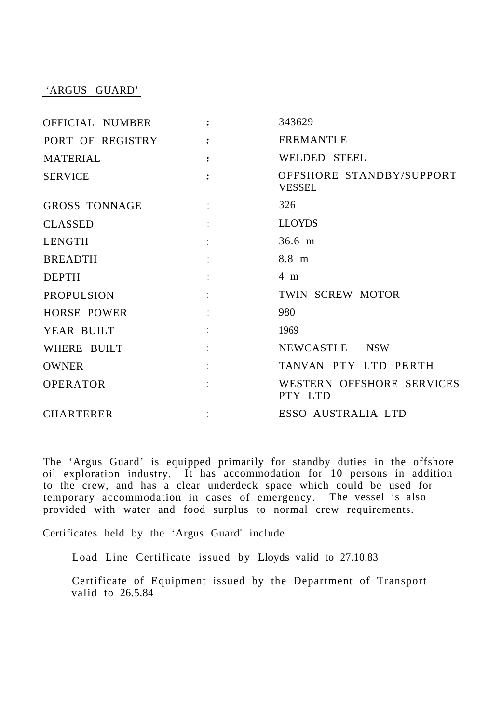#### 'ARGUS GUARD'

| OFFICIAL NUMBER      |                                   | 343629                                    |
|----------------------|-----------------------------------|-------------------------------------------|
| PORT OF REGISTRY     |                                   | <b>FREMANTLE</b>                          |
| <b>MATERIAL</b>      | $\ddot{\cdot}$                    | WELDED STEEL                              |
| <b>SERVICE</b>       | $\ddot{\mathbf{r}}$               | OFFSHORE STANDBY/SUPPORT<br><b>VESSEL</b> |
| <b>GROSS TONNAGE</b> |                                   | 326                                       |
| <b>CLASSED</b>       |                                   | <b>LLOYDS</b>                             |
| LENGTH               |                                   | $36.6 \; m$                               |
| <b>BREADTH</b>       | <b>Control of Control Control</b> | 8.8 m                                     |
| <b>DEPTH</b>         | ÷                                 | 4 m                                       |
| <b>PROPULSION</b>    |                                   | TWIN SCREW MOTOR                          |
| <b>HORSE POWER</b>   |                                   | 980                                       |
| YEAR BUILT           | <b>Contractor</b>                 | 1969                                      |
| WHERE BUILT          | $\sim 10^{-1}$ .                  | NEWCASTLE NSW                             |
| <b>OWNER</b>         | $1 - 1 - 1 = 1$                   | TANVAN PTY LTD PERTH                      |
| <b>OPERATOR</b>      | ÷                                 | WESTERN OFFSHORE SERVICES<br>PTY LTD      |
| <b>CHARTERER</b>     |                                   | ESSO AUSTRALIA LTD                        |

The 'Argus Guard' is equipped primarily for standby duties in the offshore oil exploration industry. It has accommodation for 10 persons in addition to the crew, and has a clear underdeck space which could be used for temporary accommodation in cases of emergency. The vessel is also provided with water and food surplus to normal crew requirements.

Certificates held by the 'Argus Guard' include

Load Line Certificate issued by Lloyds valid to 27.10.83

Certificate of Equipment issued by the Department of Transport valid to 26.5.84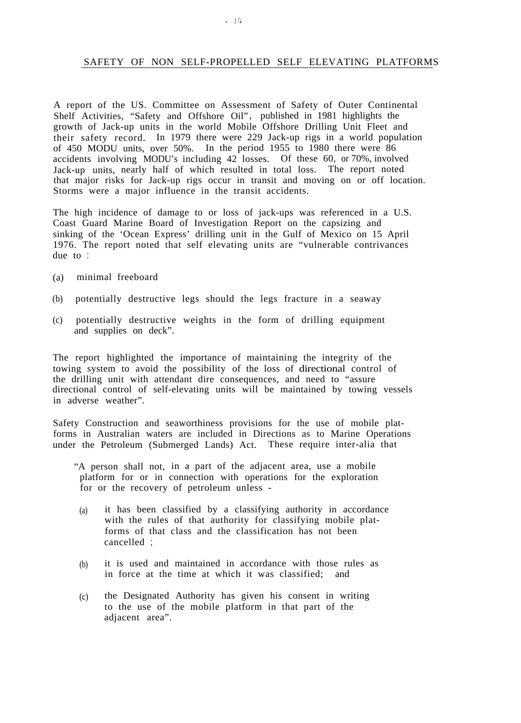#### <span id="page-15-0"></span>SAFETY OF NON SELF-PROPELLED SELF ELEVATING PLATFORMS

A report of the US. Committee on Assessment of Safety of Outer Continental Shelf Activities, "Safety and Offshore Oil", published in 1981 highlights the growth of Jack-up units in the world Mobile Offshore Drilling Unit Fleet and their safety record. In 1979 there were 229 Jack-up rigs in a world population of 450 MODU units, over 50%. In the period 1955 to 1980 there were 86 accidents involving MODU's including 42 losses. Of these 60, or 70%, involved Jack-up units, nearly half of which resulted in total loss. The report noted that major risks for Jack-up rigs occur in transit and moving on or off location. Storms were a major influence in the transit accidents.

The high incidence of damage to or loss of jack-ups was referenced in a U.S. Coast Guard Marine Board of Investigation Report on the capsizing and sinking of the 'Ocean Express' drilling unit in the Gulf of Mexico on 15 April 1976. The report noted that self elevating units are "vulnerable contrivances due to :

- (a) minimal freeboard
- (b) potentially destructive legs should the legs fracture in a seaway
- (c) potentially destructive weights in the form of drilling equipment and supplies on deck".

The report highlighted the importance of maintaining the integrity of the towing system to avoid the possibility of the loss of directional control of the drilling unit with attendant dire consequences, and need to "assure directional control of self-elevating units will be maintained by towing vessels in adverse weather".

Safety Construction and seaworthiness provisions for the use of mobile platforms in Australian waters are included in Directions as to Marine Operations under the Petroleum (Submerged Lands) Act. These require inter-alia that

- "A person shall not, in a part of the adjacent area, use a mobile platform for or in connection with operations for the exploration for or the recovery of petroleum unless -
- (a) it has been classified by a classifying authority in accordance with the rules of that authority for classifying mobile platforms of that class and the classification has not been cancelled ;
- (b) it is used and maintained in accordance with those rules as in force at the time at which it was classified; and
- $(c)$ the Designated Authority has given his consent in writing to the use of the mobile platform in that part of the adjacent area".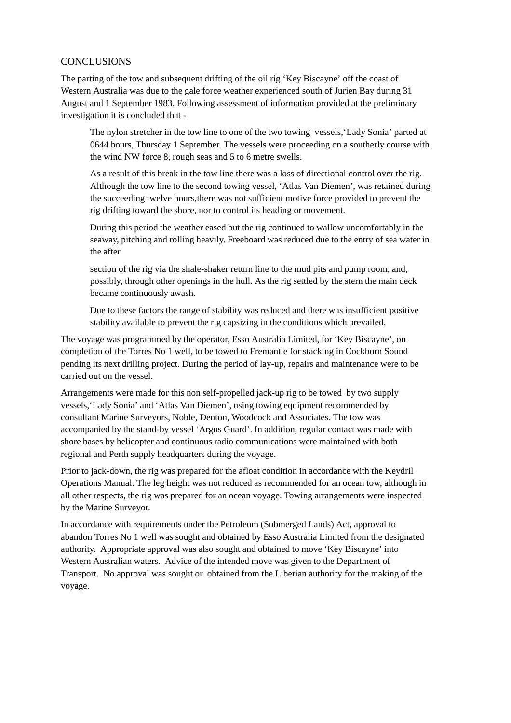# <span id="page-16-0"></span>**CONCLUSIONS**

The parting of the tow and subsequent drifting of the oil rig 'Key Biscayne' off the coast of Western Australia was due to the gale force weather experienced south of Jurien Bay during 31 August and 1 September 1983. Following assessment of information provided at the preliminary investigation it is concluded that -

The nylon stretcher in the tow line to one of the two towing vessels,'Lady Sonia' parted at 0644 hours, Thursday 1 September. The vessels were proceeding on a southerly course with the wind NW force 8, rough seas and 5 to 6 metre swells.

As a result of this break in the tow line there was a loss of directional control over the rig. Although the tow line to the second towing vessel, 'Atlas Van Diemen', was retained during the succeeding twelve hours,there was not sufficient motive force provided to prevent the rig drifting toward the shore, nor to control its heading or movement.

During this period the weather eased but the rig continued to wallow uncomfortably in the seaway, pitching and rolling heavily. Freeboard was reduced due to the entry of sea water in the after

section of the rig via the shale-shaker return line to the mud pits and pump room, and, possibly, through other openings in the hull. As the rig settled by the stern the main deck became continuously awash.

Due to these factors the range of stability was reduced and there was insufficient positive stability available to prevent the rig capsizing in the conditions which prevailed.

The voyage was programmed by the operator, Esso Australia Limited, for 'Key Biscayne', on completion of the Torres No 1 well, to be towed to Fremantle for stacking in Cockburn Sound pending its next drilling project. During the period of lay-up, repairs and maintenance were to be carried out on the vessel.

Arrangements were made for this non self-propelled jack-up rig to be towed by two supply vessels,'Lady Sonia' and 'Atlas Van Diemen', using towing equipment recommended by consultant Marine Surveyors, Noble, Denton, Woodcock and Associates. The tow was accompanied by the stand-by vessel 'Argus Guard'. In addition, regular contact was made with shore bases by helicopter and continuous radio communications were maintained with both regional and Perth supply headquarters during the voyage.

Prior to jack-down, the rig was prepared for the afloat condition in accordance with the Keydril Operations Manual. The leg height was not reduced as recommended for an ocean tow, although in all other respects, the rig was prepared for an ocean voyage. Towing arrangements were inspected by the Marine Surveyor.

In accordance with requirements under the Petroleum (Submerged Lands) Act, approval to abandon Torres No 1 well was sought and obtained by Esso Australia Limited from the designated authority. Appropriate approval was also sought and obtained to move 'Key Biscayne' into Western Australian waters. Advice of the intended move was given to the Department of Transport. No approval was sought or obtained from the Liberian authority for the making of the voyage.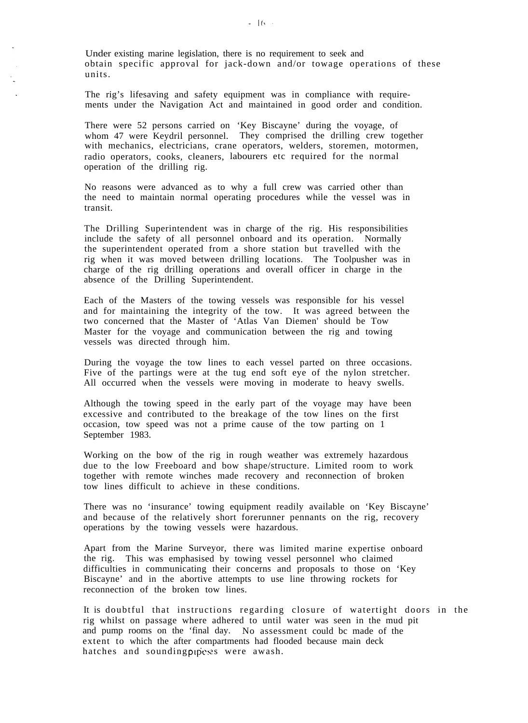Under existing marine legislation, there is no requirement to seek and obtain specific approval for jack-down and/or towage operations of these units.

The rig's lifesaving and safety equipment was in compliance with requirements under the Navigation Act and maintained in good order and condition.

There were 52 persons carried on 'Key Biscayne' during the voyage, of whom 47 were Keydril personnel. They comprised the drilling crew together with mechanics, electricians, crane operators, welders, storemen, motormen, radio operators, cooks, cleaners, labourers etc required for the normal operation of the drilling rig.

No reasons were advanced as to why a full crew was carried other than the need to maintain normal operating procedures while the vessel was in transit.

The Drilling Superintendent was in charge of the rig. His responsibilities include the safety of all personnel onboard and its operation. Normally the superintendent operated from a shore station but travelled with the rig when it was moved between drilling locations. The Toolpusher was in charge of the rig drilling operations and overall officer in charge in the absence of the Drilling Superintendent.

Each of the Masters of the towing vessels was responsible for his vessel and for maintaining the integrity of the tow. It was agreed between the two concerned that the Master of 'Atlas Van Diemen' should be Tow Master for the voyage and communication between the rig and towing vessels was directed through him.

During the voyage the tow lines to each vessel parted on three occasions. Five of the partings were at the tug end soft eye of the nylon stretcher. All occurred when the vessels were moving in moderate to heavy swells.

Although the towing speed in the early part of the voyage may have been excessive and contributed to the breakage of the tow lines on the first occasion, tow speed was not a prime cause of the tow parting on 1 September 1983.

Working on the bow of the rig in rough weather was extremely hazardous due to the low Freeboard and bow shape/structure. Limited room to work together with remote winches made recovery and reconnection of broken tow lines difficult to achieve in these conditions.

There was no 'insurance' towing equipment readily available on 'Key Biscayne' and because of the relatively short forerunner pennants on the rig, recovery operations by the towing vessels were hazardous.

Apart from the Marine Surveyor, there was limited marine expertise onboard the rig. This was emphasised by towing vessel personnel who claimed difficulties in communicating their concerns and proposals to those on 'Key Biscayne' and in the abortive attempts to use line throwing rockets for reconnection of the broken tow lines.

It is doubtful that instructions regarding closure of watertight doors in the rig whilst on passage where adhered to until water was seen in the mud pit and pump rooms on the 'final day. No assessment could bc made of the extent to which the after compartments had flooded because main deck hatches and sounding pipes were awash.